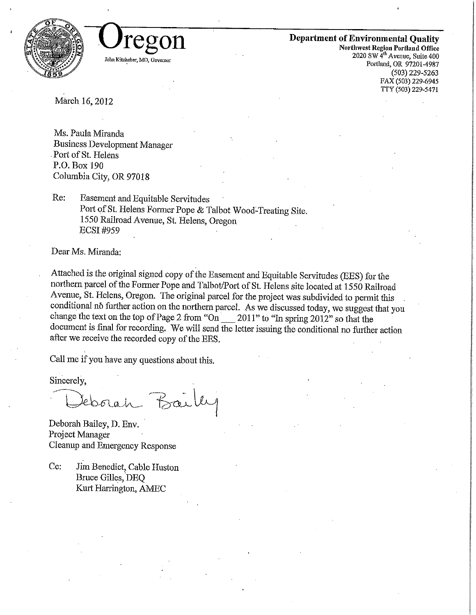



## Department of Environmental Quality

Northwest Region Poriland Office 2020 SW 4th Avenue, Suite 400 Portland, OR 97201-4987 (503) 229-5263 FAX (503) 229-6945 TTY (503) 229-5471

March 16,2012

ms. *Paula Millaillia*<br>D Business Development Manager Port of St. Helens<br>P.O. Box 190 P.O. Box 190 Columbia City, OR 97018

 $R_{\rm c}$ . Easement and Equitable Servitudes  $\frac{P}{P}$  or or st. Helens Former Pope  $\alpha$  Talbot Wood-Treating Site. 1550 Railroad Avenue, St. Helens, Oregon ECSI#959

Dear Ms. Miranda:

Attached is the original signed copy of the Easement and Equitable Servitudes (EES) for the northern parcel of the Former Pope and Talbot/Port of St. Helens site located at 1550 Railroad Avenue, St. Helens, Oregon. The original parcel for the project was subdivided to permit this conditional no further action on the northern parcel. As we discussed today, we suggest that you change the text on the top of Page 2 from "On  $\_\_$  2011" to "In spring 2012" so that the document is final for recording. We will send the letter issuing the conditional no further action after we receive the recorded copy of the EES,

Call me if you have any questions about this.

Sincerely,

Eborah Bailey

Deborah Bailey, D. Env. roject inanager<br><sup>1</sup> Acamp and Emergency Response

Cc: Jim Benedict, Cable Huston Bruce Gilles, DEQ Kurt Harrington, AMEC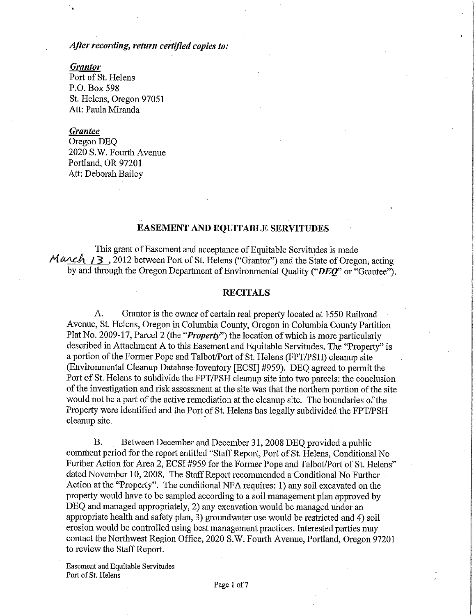## After recording, return certified copies to:

#### **Grantor**

Port of St. Helens P.O. Box 598 St. Helens, Oregon 97051 Att: Paula Miranda

#### Grantee

Oregon DEQ 2020 S.W. Fourth Avenue Portland, OR 97201 Att: Deborah Bailey

## EASEMENT AND EQUITABLE SERVITUDES

This grant of Easement and acceptance of Equitable Servitudes is made  $M \alpha \text{c}h$  /3, 2012 between Port of St. Helens ("Grantor") and the State of Oregon, acting by and through the Oregon Department of Environmental Quality (" $DEQ$ " or "Grantee").

#### RECITALS

A. Grantor is the owner of certain real property located at 1550 Railroad Avenue, St. Helens, Oregon in Columbia County, Oregon in Columbia County Partition Plat No. 2009-17, Parcel 2 (the "*Property*") the location of which is more particularly described in Attachment A to this Easement and Equitable Servitudes. The "Property" is a portion of the Former Pope and Talbot/Port of St. Helens (FPT/PSH) cleanup site (Environmental Cleanup Database Inventory [ECSI] #959). DEQ agreed to permit the Port of St. Helens to subdivide the FPT/PSH cleanup site into two parcels: the conclusion of the investigation and risk assessment at the site was that the northern portion of the site would not be a part of the active remediation at the cleanup site. The boundaries of the Property were identified and the Port of St. Helens has legally subdivided the FPT/PSH cleanup site.

B. Between December and December 31, 2008 DEO provided a public comment period for the report entitled "Staff Report, Port of St. Helens, Conditional No Further Action for Area 2, ECSI #959 for the Former Pope and Talbot/Port of St. Helens" dated November 10, 2008. The Staff Report recommended a Conditional No Further Action at the "Property". The conditional NFA requires: 1) any soil excavated on the property would have to be sampled according to a soil management plan approved by DEQ and managed appropriately, 2) any excavation would be managed under an appropriate health and safety plan, 3) groundwater use would be restricted and 4) soil erosion would be controlled using best management practices. Interested parties may contact the Northwest Region Office, 2020 S.W. Fourth Avenue, Portland, Oregon 97201 to review the Staff Report.

Easement and Equitable Servitudes Port of St. Helens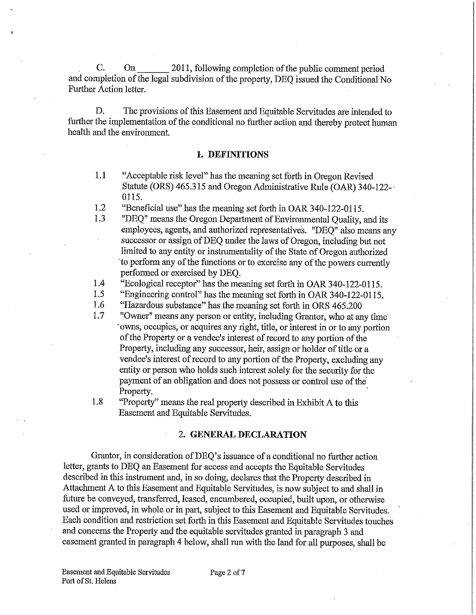C. On 2011, following completion of the public comment period and completion of the legal subdivision of the property, DEQ issued the Conditional No Further Action letter.

D. The provisions of this Easement and Equitable Servitudes are intended to further the implementation of the conditional no further action and thereby protect human health and the environment.

### 1. DEFINITIONS

- 1.1 Acceptable risk level" has the meaning set forth in Oregon Revised Statute (ORS) 465.315 and Oregon Administrative Rule (OAR) 340-122-0115.
- 1.2 "Beneficial use" has the meaning set forth in OAR 340-122-0115.<br>1.3 "DEO" means the Oregon Department of Environmental Ouality.
- "DEQ" means the Oregon Department of Environmental Quality, and its employees, agents, and authorized representatives. "DEQ" also means any successor or assign of DEQ under the laws of Oregon, including but not limited to any entity or instrumentality of the State of Oregon authorized 'to perform any of the functions or to exercise any of the powers currently performed or exercised by DEQ.
- 1.4 "Ecological receptor" has the meaning set forth in OAR 340-122-0115.
- 1.5 "Engineering control" has the meaning set forth in OAR 340-122-0115.<br>1.6 "Hazardous substance" has the meaning set forth in ORS 465.200
- "Hazardous substance" has the meaning set forth in ORS 465.200
- 1.7 "Owner" means any person or entity, including Grantor, who at any time 'owns, occupies, or acquires any right, title, or interest in or to any portion of the Property or a vendee's interest of record to any portion of the Property, including any successor, heir, assign or holder of title or a vendee's interest of record to any portion of the Property, excluding any entity or person who holds such interest solely for the security for the payment of an obligation and does not possess or control use of the Property.
- 1.8 "Property" means the real property described in Exhibit A to this Easement and Equitable Servitudes.

#### 2. GENERAL DECLARATION

Grantor, in consideration of DEQ's issuance of a conditional no further action letter, grants to DEQ an Easement for access and accepts the Equitable Servitides described in this instrument and, in so doing, declares that the Property described in Attachment A to this Easement and Equitable Servitudes, is now subject to and shall in future be conveyed, transferred, leased, encumbered, occupied, built upon, or otherwise used or improved, in whole or in part, subject to this Easement and Equitable Servitudes. Each condition and restriction set forth in this Easement and Equitable Servitudes touches and concerns the Property and the equitable servitudes granted in paragraph 3 and easement granted in paragraph 4 below, shall run with the land for all purposes, shall be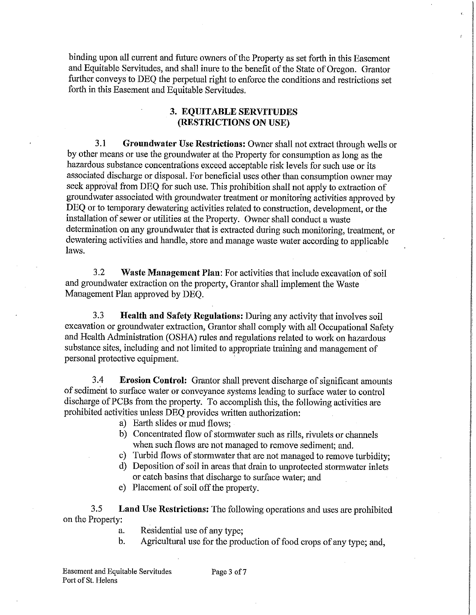binding upon all current and future owners of the Property as set forth in this Easement and Equitable Servitudes, and shall inure to the benefit of the State of Oregon. Grantor further conveys to DEQ the perpetual right to enforce the conditions and restrictions set forth in this Easement and Equitable Servitudes.

## 3. EQUITABLE SERVITUDES (RESTRICTIONS ON USE)

3.1 Groundwater Use Restrictions: Owner shall not extract through wells or by other means or use the groundwater at the Property for consumption as long as the hazardous substance concentrations exceed acceptable risk levels for such use or its associated discharge or disposal. For beneficial uses other than consumption owner may seek approval from DEQ for such use. This prohibition shall not apply to extraction of groundwater associated with groundwater treatnent or monitoring activities approved by DEQ or to temporary dewatering activities related to construction, development, or the installation of sewer or utilities at the Property. Owner shall conduct a waste determination on any groundwater that is extracted during such monitoring, treatment, or dewatering activities and handle, store and manage waste water according to applicable laws.

3.2 Waste Management Plan: For activities that include excavation of soil and groundwater extraction on the property. Grantor shall implement the Waste Management Plan approved by DEQ.

3.3 Health and Safety Regulations: During any activity that involves soil excavation or groundwater extraction, Grantor shall comply with all Occupational Safety and Health Administration (OSHA) rules and regulations related to work on hazardous substance sites, including and not limited to appropriate training and management of personal protective equipment.

3.4 Erosion Control: Grantor shall prevent discharge of significant amounts of sediment to surface water or conveyance systems leading to surface water to control discharge of PCBs from the property. To accomplish this, the following activities are prohibited activities unless DEQ provides written authorization:

- a) Earth slides or mud flows;
- b) Concentrated flow of stormwater such as rills, rivulets or channels when such flows are not managed to remove sediment; and.
- c) Turbid flows of stormwater that are not managed to remove turbidity;
- d) Deposition of soil in areas that drain to unprotected stormwater inlets or catch basins that discharge to surface water; and
- e) Placement of soil off the property.

3.5 Land Use Restrictions: The following operations and uses are prohibited on the Property:

- a. Residential use of any type;
- b. Agricultural use for the production of food crops of any type; and,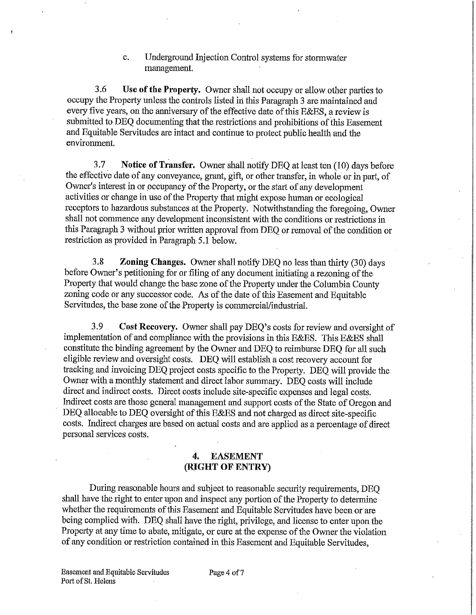## c. Underground Injection Control systems for stormwater management.

3.6 Use of the Property. Owner shall not occupy or allow other parties to occupy the Property unless the controls listed in this Paragraph 3 are maintained and every five years, on the anniversary of the effective date of this E&ES, a review is submitted to DEQ documenting that the restrictions and prohibitions of this Easement and Equitable Servitudes are intact and continue to protect public health and the environment.

3.7 Notice of Transfer. Owner shall notify DEQ at least ten (10) days before the effective date of any conveyance, grant, gift, or other transfer, ia whole or in part, of Owner's interest in or occupancy of the Property, or the start of any development activities or change in use of the Property that might expose human or ecological receptors to hazardous substances at the Property. Notwithstanding the foregoing, Owner shall not commence any development inconsistent with the conditions or restrictions in this Paragraph 3 without prior written approval from DEQ or removal of the condition or restriction as provided in Paragraph 5.1 below.

3.8 Zoning Changes. Owner shall notify DEQ no less than thirty (30) days before Owner's petitioning for or filing of any document initiating a rezoning of the Property that would change the base zone of the Property under the Columbia County zoning code or any successor code. As of the date of this Easement and Equitable Servitudes, the base zone of the Property is commercial/industrial.

3.9 Cost Recovery. Owner shall pay DEQ's costs for review and.oversight of implementation of and compliance with the provisions in this E&ES. This E&ES shall constitute the binding agreement by the Owner and DEQ to reimburse DEQ for all such eligible review and oversight costs. DEQ will establish a cost recovery account for tracking and mvoicing DBQ project costs specific to the Property. DEQ will provide the Owner with a monthly statement and direct labor summary. DEQ costs will include direct and indirect costs. Direct costs include site-specific expenses and legal costs. Indirect costs are those general management and support costs of the State of Oregon and DEQ allocable to DEQ oversight of this E&ES and not charged as direct site-specific costs. Indirect charges are based on actual costs and are applied as a percentage of direct personal services costs.

## 4. EASEMENT (RIGHT OF ENTRY)

During reasonable hours and subject to reasonable security requirements, DEQ shall have the right to enter upon and inspect any portion of the Property to determine whether the requirements of this Easement and Equitable Servitudes have been or are being complied with. DEQ shall have the right, privilege, and license to enter upon the Property at any time to abate, mitigate, or cure at the expense of the Owner the violation of any condition or restriction contained in this Easement and Equitable Servitudes,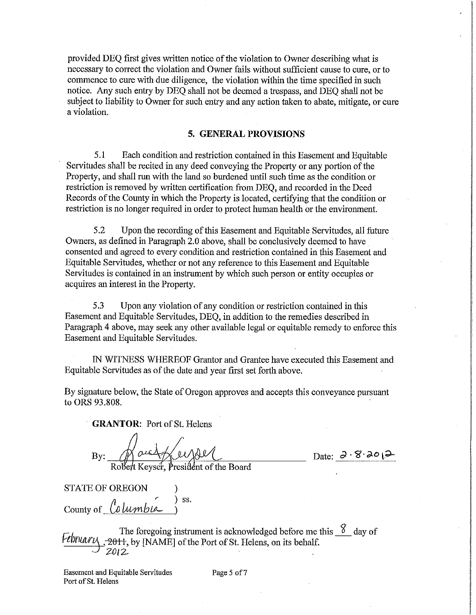provided DEQ first gives written notice of the violation to Owner describing what is necessary to correct the violation and Owner fails without sufficient cause to cure, or to commence to cure with due diligence, the violation within the time specified in such notice. Any such entry by DEQ shall not be deemed a trespass, and DEQ shall not be subject to liability to Owner for such entry and any action taken to abate, mitigate, or cure a violation.

### 5. GENERAL PROVISIONS

5.1 Each condition and restriction contained in this Easement and Equitable Servitudes shall be recited in any deed conveying the Property or any portion of the Property, and shall run with the land so burdened until such time as the condition or restriction is removed by written certification from DEQ, and recorded in the Deed Records of the County in which the Property is located, certifying that the condition or restriction is no longer required in order to protect human health or the environment.

5.2 Upon the recording of this Easement and Equitable Servitudes, all future Owners, as defined in Paragraph 2.0 above, shall be conclusively deemed to have consented and agreed to every condition and restriction contained in this Easement and Equitable Servitudes, whether or not any reference to this Easement and Equitable Servitudes is contained in an instrument by which such person or entity occupies or acquires an interest in the Property.

5.3 Upon any violation of any condition or restriction contained in this Easement and Equitable Servitudes, DEQ, in addition to the remedies described in Paragraph 4 above, may seek any other available legal or equitable remedy to enforce this Easement and Equitable Servitudes.

IN WITNESS WHEREOF Grantor and Grantee have executed this Easement and Equitable Servitudes as of the date and year first set forth above.

By signature below, the State of Oregon approves and accepts this conveyance pursuant to ORS 93.808.

GRANTOR: Port of St. Helens

 $B$ y: Mac $\sqrt{u\sqrt{u\sqrt{u}}}$  Date:  $3.8.201$ 

Robert Keyser, President of the Board

STATE OF OREGON )  $)$  ss.  $\frac{1}{\text{Country of}}$  Columbia

The foregoing instrument is acknowledged before me this  $\frac{8}{3}$  day of \_,~W^, by [NAME] of the Port of St. Helens, on its behalf. Z012.

Easement and Equitable Servitudes Page 5 of 7 Port of St. Helens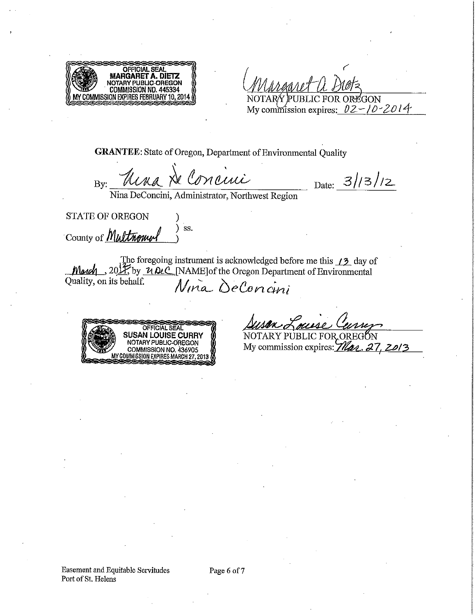

 $\epsilon$  $\mathscr{O}$ दि NOTARY PUBLIC FOR OREGON

My commission expires:  $02 - 10 - 2014$ 

GRANTEE: State of Oregon, Department of Environmental Quality

By: Una  $N$  Concini Date: 3/13/12

Nina DeConcim, Administrator, Northwest Region

STATE OF OREGON County of *Multmowel* ) ) S3.

The foregoing instrument is acknowledged before me this  $\angle 2$  day of , 20 $\frac{1}{K}$  by  $\frac{\nu \nu \mathcal{L}}{N}$  [NAME] of the Oregon Department of Environmental<br>n its behalf.<br> $N$  $\mu \alpha$   $\partial e$   $\alpha$   $\mu i$  $\frac{\text{Mod}}{\text{Quality}}$ , 20 $\frac{\text{H}}{\text{y}}$  by



 $\mu$ use NOTARY PUBLIC FOR OREGON

My commission expires:  $\hat{\mu}$   $\hat{\mu}$ . 27, 20/3

Page 6 of 7